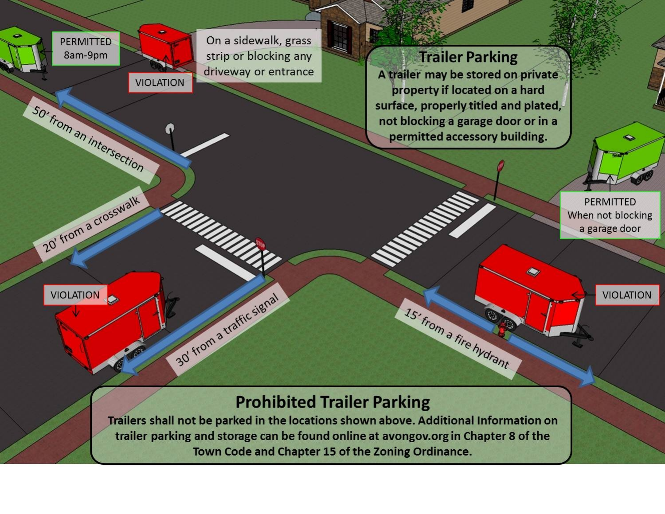

## **Prohibited Trailer Parking**

Trailers shall not be parked in the locations shown above. Additional Information on trailer parking and storage can be found online at avongov.org in Chapter 8 of the Town Code and Chapter 15 of the Zoning Ordinance.